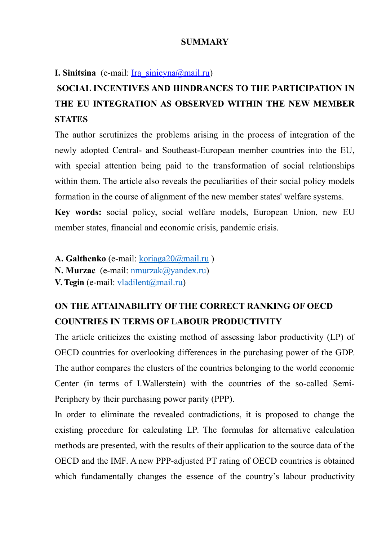#### **SUMMARY**

**I. Sinitsina** (e-mail: <u>Ira\_sinicyna@mail.ru</u>)

### **SOCIAL INCENTIVES AND HINDRANCES TO THE PARTICIPATION IN THE EU INTEGRATION AS OBSERVED WITHIN THE NEW MEMBER STATES**

The author scrutinizes the problems arising in the process of integration of the newly adopted Central- and Southeast-European member countries into the EU, with special attention being paid to the transformation of social relationships within them. The article also reveals the peculiarities of their social policy models formation in the course of alignment of the new member states' welfare systems. **Key words:** social policy, social welfare models, European Union, new EU

**A. Galthenko** (е-mail: [koriaga20@mail.ru](mailto:koriaga20@mail.ru) ) **N. Murzac** (е-mail: [nmurzak@yandex.ru\)](mailto:nmurzak@yandex.ru) **V. Tegin** (e-mail: [vladilent@mail.ru\)](mailto:vladilent@mail.ru)

member states, financial and economic crisis, pandemic crisis.

### **ON THE ATTAINABILITY OF THE CORRECT RANKING OF OECD COUNTRIES IN TERMS OF LABOUR PRODUCTIVITY**

The article criticizes the existing method of assessing labor productivity (LP) of OECD countries for overlooking differences in the purchasing power of the GDP. The author compares the clusters of the countries belonging to the world economic Center (in terms of I.Wallerstein) with the countries of the so-called Semi-Periphery by their purchasing power parity (PPP).

In order to eliminate the revealed contradictions, it is proposed to change the existing procedure for calculating LP. The formulas for alternative calculation methods are presented, with the results of their application to the source data of the OECD and the IMF. A new PPP-adjusted PT rating of OECD countries is obtained which fundamentally changes the essence of the country's labour productivity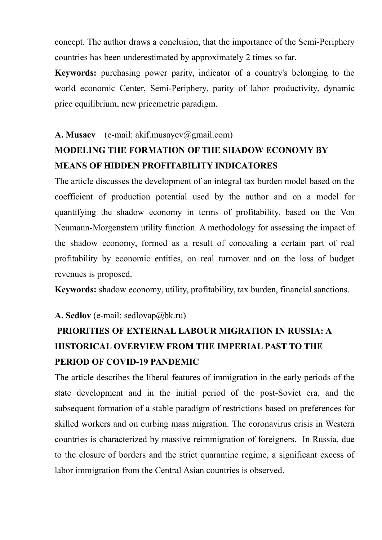concept. The author draws a conclusion, that the importance of the Semi-Periphery countries has been underestimated by approximately 2 times so far.

**Keywords:** purchasing power parity, indicator of a country's belonging to the world economic Center, Semi-Periphery, parity of labor productivity, dynamic price equilibrium, new pricemetric paradigm.

#### A. Musaev (e-mail: akif.musayev@gmail.com)

### **MODELING THE FORMATION OF THE SHADOW ECONOMY BY MEANS OF HIDDEN PROFITABILITY INDICATORES**

The article discusses the development of an integral tax burden model based on the coefficient of production potential used by the author and on a model for quantifying the shadow economy in terms of profitability, based on the Von Neumann-Morgenstern utility function. A methodology for assessing the impact of the shadow economy, formed as a result of concealing a certain part of real profitability by economic entities, on real turnover and on the loss of budget revenues is proposed.

**Keywords:** shadow economy, utility, profitability, tax burden, financial sanctions.

#### **A. Sedlov** (e-mail: sedlovap@bk.ru)

## **PRIORITIES OF EXTERNAL LABOUR MIGRATION IN RUSSIA: A HISTORICAL OVERVIEW FROM THE IMPERIAL PAST TO THE PERIOD OF COVID-19 PANDEMIC**

The article describes the liberal features of immigration in the early periods of the state development and in the initial period of the post-Soviet era, and the subsequent formation of a stable paradigm of restrictions based on preferences for skilled workers and on curbing mass migration. The coronavirus crisis in Western countries is characterized by massive reimmigration of foreigners. In Russia, due to the closure of borders and the strict quarantine regime, a significant excess of labor immigration from the Central Asian countries is observed.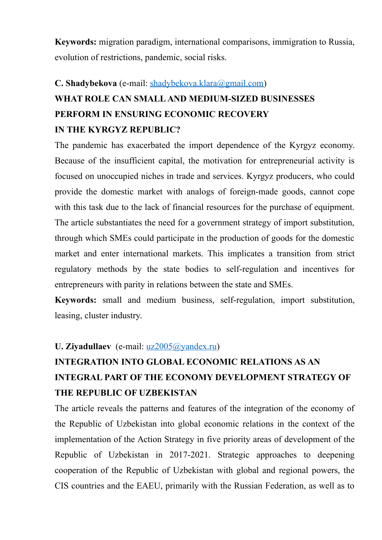**Keywords:** migration paradigm, international comparisons, immigration to Russia, evolution of restrictions, pandemic, social risks.

# **C. Shadybekova** (e-mail: [shadybekova.klara@gmail.com\)](mailto:shadybekova.klara@gmail.com) **WHAT ROLE CAN SMALL AND MEDIUM-SIZED BUSINESSES PERFORM IN ENSURING ECONOMIC RECOVERY IN THE KYRGYZ REPUBLIC?**

The pandemic has exacerbated the import dependence of the Kyrgyz economy. Because of the insufficient capital, the motivation for entrepreneurial activity is focused on unoccupied niches in trade and services. Kyrgyz producers, who could provide the domestic market with analogs of foreign-made goods, cannot cope with this task due to the lack of financial resources for the purchase of equipment. The article substantiates the need for a government strategy of import substitution, through which SMEs could participate in the production of goods for the domestic market and enter international markets. This implicates a transition from strict regulatory methods by the state bodies to self-regulation and incentives for entrepreneurs with parity in relations between the state and SMEs.

**Keywords:** small and medium business, self-regulation, import substitution, leasing, cluster industry.

#### **U. Ziyadullaev** (e-mail: <u>uz2005@yandex.ru</u>)

# **INTEGRATION INTO GLOBAL ECONOMIC RELATIONS AS AN INTEGRAL PART OF THE ECONOMY DEVELOPMENT STRATEGY OF THE REPUBLIC OF UZBEKISTAN**

The article reveals the patterns and features of the integration of the economy of the Republic of Uzbekistan into global economic relations in the context of the implementation of the Action Strategy in five priority areas of development of the Republic of Uzbekistan in 2017-2021. Strategic approaches to deepening cooperation of the Republic of Uzbekistan with global and regional powers, the CIS countries and the EAEU, primarily with the Russian Federation, as well as to